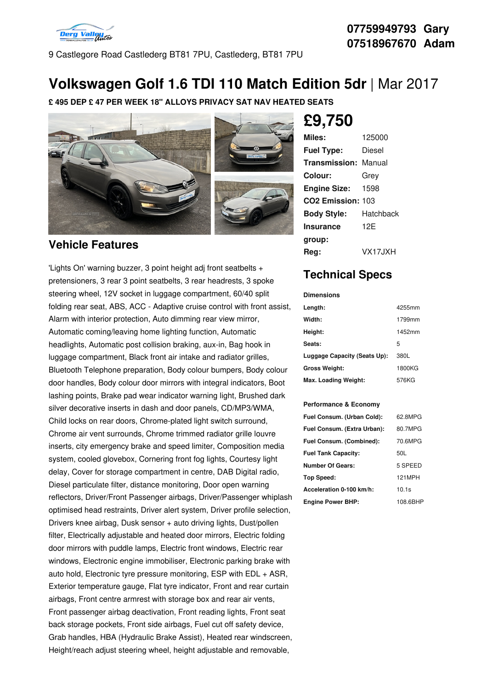

9 Castlegore Road Castlederg BT81 7PU, Castlederg, BT81 7PU

## **Volkswagen Golf 1.6 TDI 110 Match Edition 5dr** |Mar 2017

**£ 495 DEP £ 47 PER WEEK 18" ALLOYS PRIVACY SAT NAV HEATED SEATS**



### **Vehicle Features**

'Lights On' warning buzzer, 3 point height adj front seatbelts + pretensioners, 3 rear 3 point seatbelts, 3 rear headrests, 3 spoke steering wheel, 12V socket in luggage compartment, 60/40 split folding rear seat, ABS, ACC - Adaptive cruise control with front assist, Alarm with interior protection, Auto dimming rear view mirror, Automatic coming/leaving home lighting function, Automatic headlights, Automatic post collision braking, aux-in, Bag hook in luggage compartment, Black front air intake and radiator grilles, Bluetooth Telephone preparation, Body colour bumpers, Body colour door handles, Body colour door mirrors with integral indicators, Boot lashing points, Brake pad wear indicator warning light, Brushed dark silver decorative inserts in dash and door panels, CD/MP3/WMA, Child locks on rear doors, Chrome-plated light switch surround, Chrome air vent surrounds, Chrome trimmed radiator grille louvre inserts, city emergency brake and speed limiter, Composition media system, cooled glovebox, Cornering front fog lights, Courtesy light delay, Cover for storage compartment in centre, DAB Digital radio, Diesel particulate filter, distance monitoring, Door open warning reflectors, Driver/Front Passenger airbags, Driver/Passenger whiplash optimised head restraints, Driver alert system, Driver profile selection, Drivers knee airbag, Dusk sensor + auto driving lights, Dust/pollen filter, Electrically adjustable and heated door mirrors, Electric folding door mirrors with puddle lamps, Electric front windows, Electric rear windows, Electronic engine immobiliser, Electronic parking brake with auto hold, Electronic tyre pressure monitoring, ESP with EDL + ASR, Exterior temperature gauge, Flat tyre indicator, Front and rear curtain airbags, Front centre armrest with storage box and rear air vents, Front passenger airbag deactivation, Front reading lights, Front seat back storage pockets, Front side airbags, Fuel cut off safety device, Grab handles, HBA (Hydraulic Brake Assist), Heated rear windscreen, Height/reach adjust steering wheel, height adjustable and removable,

# **£9,750**

| Miles:                        | 125000    |
|-------------------------------|-----------|
| <b>Fuel Type:</b>             | Diesel    |
| <b>Transmission: Manual</b>   |           |
| Colour:                       | Grev      |
| <b>Engine Size:</b>           | 1598      |
| CO <sub>2</sub> Emission: 103 |           |
| <b>Body Style:</b>            | Hatchback |
| <b>Insurance</b>              | 12F       |
| group:                        |           |
| Rea:                          | VX17.JXH  |

## **Technical Specs**

#### **Dimensions**

| Length:                      | 4255mm |
|------------------------------|--------|
| Width:                       | 1799mm |
| Height:                      | 1452mm |
| Seats:                       | 5      |
| Luggage Capacity (Seats Up): | 380L   |
| <b>Gross Weight:</b>         | 1800KG |
| Max. Loading Weight:         | 576KG  |

#### **Performance & Economy**

| Fuel Consum. (Urban Cold):  | 62.8MPG  |
|-----------------------------|----------|
| Fuel Consum. (Extra Urban): | 80.7MPG  |
| Fuel Consum. (Combined):    | 70.6MPG  |
| <b>Fuel Tank Capacity:</b>  | 50L      |
| <b>Number Of Gears:</b>     | 5 SPEED  |
| Top Speed:                  | 121MPH   |
| Acceleration 0-100 km/h:    | 10.1s    |
| <b>Engine Power BHP:</b>    | 108.6BHP |